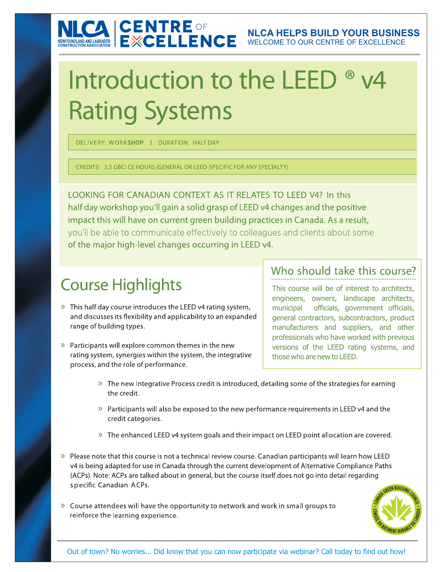# NICA CENTRE OF

# Introduction to the LEED ® v4 **Rating Systems**

DELIVERY: WORKSHOP | DURATION: HALFDAY

CREDITS: 3.5 GBCI CE HOURS (GENERAL OR LEED-SPECIFIC FOR ANY SPECIALTY)

LOOKING FOR CANADIAN CONTEXT AS IT RELATES TO LEED V4? In this half day workshop you'll gain a solid grasp of LEED v4 changes and the positive impact this will have on current green building practices in Canada. As a result, you'll be able to communicate effectively to colleagues and clients about some of the major high-level changes occurring in LEED v4.

# **Course Highlights**

- >> This half day course introduces the LEED v4 rating system, and discusses its flexibility and applicability to an expanded range of building types.
- > Participants will explore common themes in the new rating system, synergies within the system, the integrative process, and the role of performance.

#### Who should take this course?

This course will be of interest to architects, engineers, owners, landscape architects, municipal officials, government officials, general contractors, subcontractors, product manufacturers and suppliers, and other professionals who have worked with previous versions of the LEED rating systems, and those who are new to LEED.

- » The new Integrative Process credit is introduced, detailing some of the strategies for earning the credit.
- >> Participants will also be exposed to the new performance requirements in LEED v4 and the credit categories.
- » The enhanced LEED v4 system goals and their impact on LEED point allocation are covered.
- >> Please note that this course is not a technical review course. Canadian participants will learn how LEED v4 is being adapted for use in Canada through the current development of Alternative Compliance Paths (ACPs). Note: ACPs are talked about in general, but the course itself does not go into detail regarding specific Canadian ACPs.
- » Course attendees will have the opportunity to network and work in small groups to reinforce the learning experience.